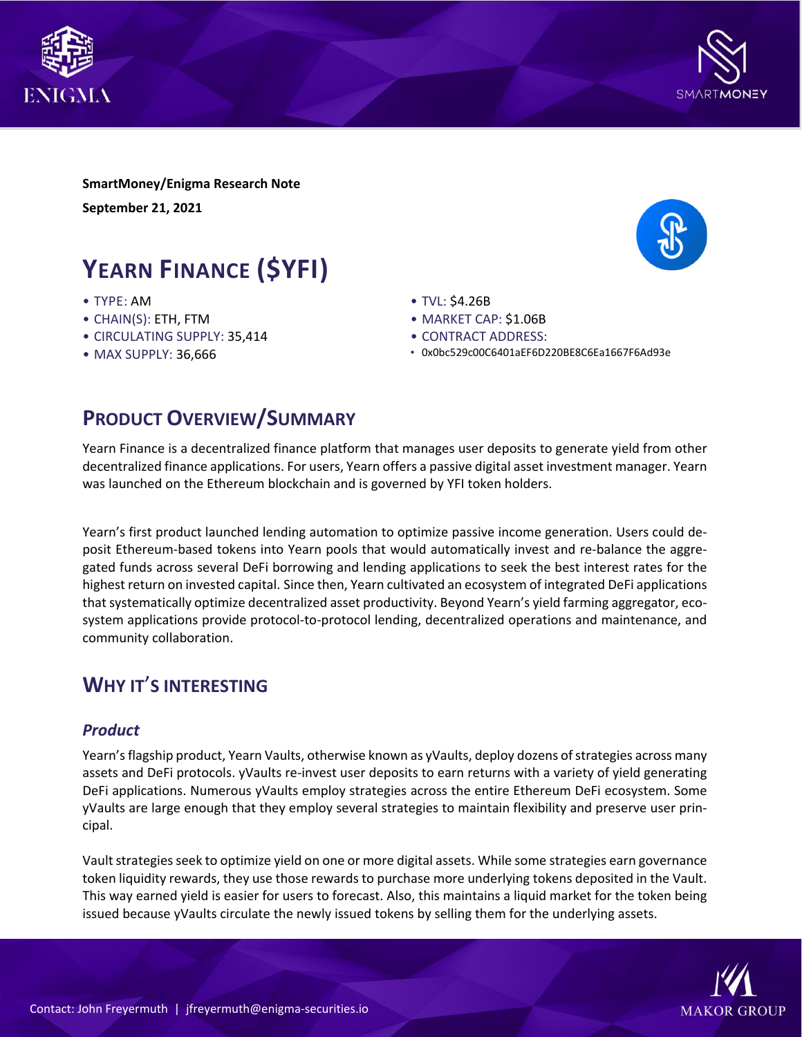



**SmartMoney/Enigma Research Note September 21, 2021**

# **YEARN FINANCE (\$YFI)**

- TYPE: AM
- CHAIN(S): ETH, FTM
- CIRCULATING SUPPLY: 35,414
- MAX SUPPLY: 36,666
- TVL: \$4.26B
- MARKET CAP: \$1.06B
- CONTRACT ADDRESS:
- 0x0bc529c00C6401aEF6D220BE8C6Ea1667F6Ad93e

### **PRODUCT OVERVIEW/SUMMARY**

Yearn Finance is a decentralized finance platform that manages user deposits to generate yield from other decentralized finance applications. For users, Yearn offers a passive digital asset investment manager. Yearn was launched on the Ethereum blockchain and is governed by YFI token holders.

Yearn's first product launched lending automation to optimize passive income generation. Users could deposit Ethereum-based tokens into Yearn pools that would automatically invest and re-balance the aggregated funds across several DeFi borrowing and lending applications to seek the best interest rates for the highest return on invested capital. Since then, Yearn cultivated an ecosystem of integrated DeFi applications that systematically optimize decentralized asset productivity. Beyond Yearn's yield farming aggregator, ecosystem applications provide protocol-to-protocol lending, decentralized operations and maintenance, and community collaboration.

### **WHY IT**'**S INTERESTING**

### *Product*

Yearn's flagship product, Yearn Vaults, otherwise known as yVaults, deploy dozens of strategies across many assets and DeFi protocols. yVaults re-invest user deposits to earn returns with a variety of yield generating DeFi applications. Numerous yVaults employ strategies across the entire Ethereum DeFi ecosystem. Some yVaults are large enough that they employ several strategies to maintain flexibility and preserve user principal.

Vault strategies seek to optimize yield on one or more digital assets. While some strategies earn governance token liquidity rewards, they use those rewards to purchase more underlying tokens deposited in the Vault. This way earned yield is easier for users to forecast. Also, this maintains a liquid market for the token being issued because yVaults circulate the newly issued tokens by selling them for the underlying assets.

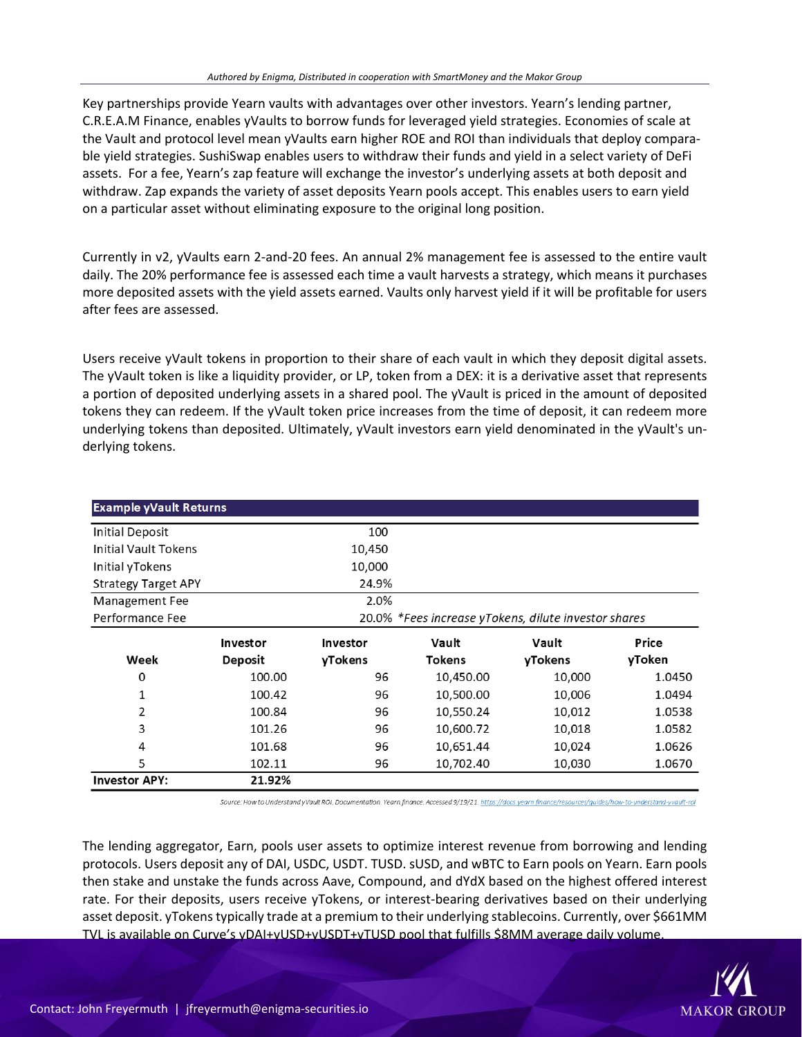Key partnerships provide Yearn vaults with advantages over other investors. Yearn's lending partner, C.R.E.A.M Finance, enables yVaults to borrow funds for leveraged yield strategies. Economies of scale at the Vault and protocol level mean yVaults earn higher ROE and ROI than individuals that deploy comparable yield strategies. SushiSwap enables users to withdraw their funds and yield in a select variety of DeFi assets. For a fee, Yearn's zap feature will exchange the investor's underlying assets at both deposit and withdraw. Zap expands the variety of asset deposits Yearn pools accept. This enables users to earn yield on a particular asset without eliminating exposure to the original long position.

Currently in v2, yVaults earn 2-and-20 fees. An annual 2% management fee is assessed to the entire vault daily. The 20% performance fee is assessed each time a vault harvests a strategy, which means it purchases more deposited assets with the yield assets earned. Vaults only harvest yield if it will be profitable for users after fees are assessed.

Users receive yVault tokens in proportion to their share of each vault in which they deposit digital assets. The yVault token is like a liquidity provider, or LP, token from a DEX: it is a derivative asset that represents a portion of deposited underlying assets in a shared pool. The yVault is priced in the amount of deposited tokens they can redeem. If the yVault token price increases from the time of deposit, it can redeem more underlying tokens than deposited. Ultimately, yVault investors earn yield denominated in the yVault's underlying tokens.

| <b>Example yVault Returns</b> |                                                      |                 |               |         |        |
|-------------------------------|------------------------------------------------------|-----------------|---------------|---------|--------|
| <b>Initial Deposit</b>        |                                                      | 100             |               |         |        |
| Initial Vault Tokens          |                                                      | 10,450          |               |         |        |
| Initial yTokens               |                                                      | 10,000          |               |         |        |
| <b>Strategy Target APY</b>    |                                                      | 24.9%           |               |         |        |
| Management Fee                |                                                      | 2.0%            |               |         |        |
| Performance Fee               | 20.0% *Fees increase yTokens, dilute investor shares |                 |               |         |        |
|                               | <b>Investor</b>                                      | <b>Investor</b> | Vault         | Vault   | Price  |
| Week                          | <b>Deposit</b>                                       | yTokens         | <b>Tokens</b> | yTokens | yToken |
| 0                             | 100.00                                               | 96              | 10,450.00     | 10,000  | 1.0450 |
| 1                             | 100.42                                               | 96              | 10,500.00     | 10,006  | 1.0494 |
| 2                             | 100.84                                               | 96              | 10,550.24     | 10,012  | 1.0538 |
| 3                             | 101.26                                               | 96              | 10,600.72     | 10,018  | 1.0582 |
| 4                             | 101.68                                               | 96              | 10,651.44     | 10,024  | 1.0626 |
| 5                             | 102.11                                               | 96              | 10,702.40     | 10,030  | 1.0670 |
| <b>Investor APY:</b>          | 21.92%                                               |                 |               |         |        |

Source: How to Understand yVault ROI. Documentation. Yearn.finance. Accessed 9/19/21. https://docs.yearn.finance/resources/quides/how-to-understand-yvault-roi

The lending aggregator, Earn, pools user assets to optimize interest revenue from borrowing and lending protocols. Users deposit any of DAI, USDC, USDT. TUSD. sUSD, and wBTC to Earn pools on Yearn. Earn pools then stake and unstake the funds across Aave, Compound, and dYdX based on the highest offered interest rate. For their deposits, users receive yTokens, or interest-bearing derivatives based on their underlying asset deposit. yTokens typically trade at a premium to their underlying stablecoins. Currently, over \$661MM TVL is available on Curve's yDAI+yUSD+yUSDT+yTUSD pool that fulfills \$8MM average daily volume.

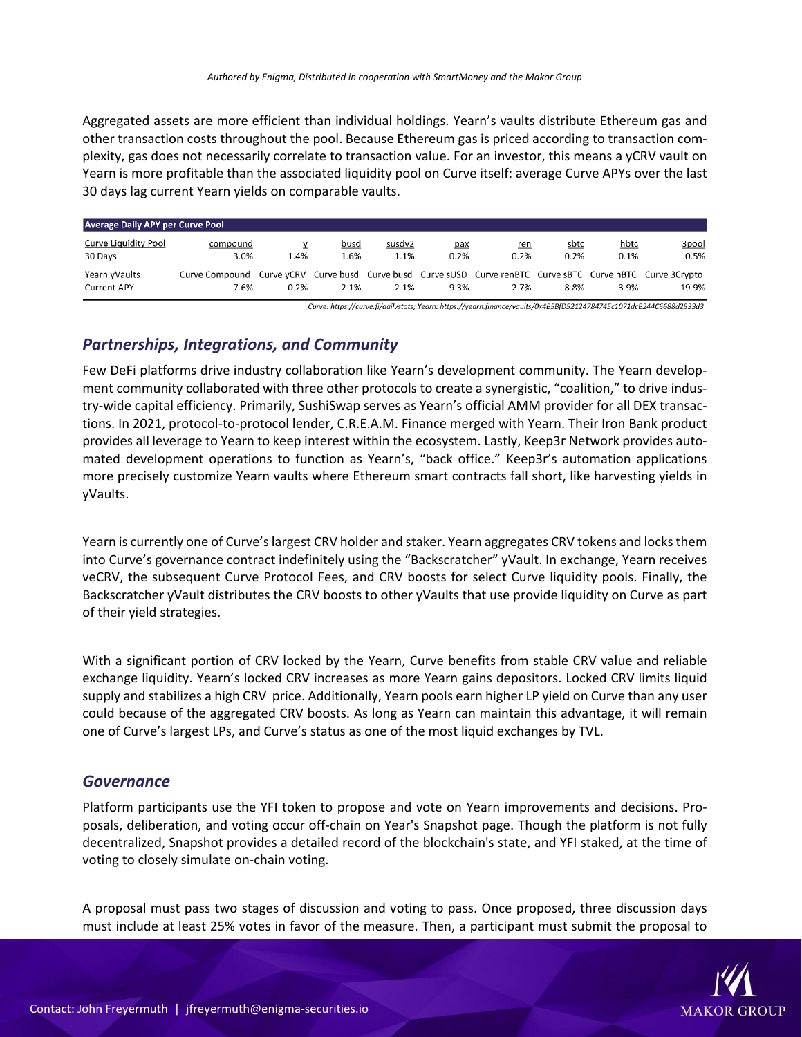Aggregated assets are more efficient than individual holdings. Yearn's vaults distribute Ethereum gas and other transaction costs throughout the pool. Because Ethereum gas is priced according to transaction complexity, gas does not necessarily correlate to transaction value. For an investor, this means a yCRV vault on Yearn is more profitable than the associated liquidity pool on Curve itself: average Curve APYs over the last 30 days lag current Yearn yields on comparable vaults.

| Average Daily APY per Curve Pool    |                        |           |              |                |             |             |              |              |                                                                                                       |
|-------------------------------------|------------------------|-----------|--------------|----------------|-------------|-------------|--------------|--------------|-------------------------------------------------------------------------------------------------------|
| Curve Liquidity Pool<br>30 Days     | compound<br>3.0%       | v<br>1.4% | busd<br>1.6% | susdv2<br>1.1% | pax<br>0.2% | ren<br>0.2% | sbtc<br>0.2% | hbtc<br>0.1% | 3pool<br>0.5%                                                                                         |
| Yearn yVaults<br><b>Current APY</b> | Curve Compound<br>7.6% | 0.2%      | 2.1%         | 2.1%           | 9.3%        | 2.7%        | 8.8%         | 3.9%         | Curve yCRV Curve busd Curve busd Curve sUSD Curve renBTC Curve sBTC Curve hBTC Curve 3Crypto<br>19.9% |

Curve: https://curve.fi/dailystats; Yearn: https://yearn.finance/vaults/0x4B5BfD52124784745c1071dcB244C6688d2533d3

### *Partnerships, Integrations, and Community*

Few DeFi platforms drive industry collaboration like Yearn's development community. The Yearn development community collaborated with three other protocols to create a synergistic, "coalition," to drive industry-wide capital efficiency. Primarily, SushiSwap serves as Yearn's official AMM provider for all DEX transactions. In 2021, protocol-to-protocol lender, C.R.E.A.M. Finance merged with Yearn. Their Iron Bank product provides all leverage to Yearn to keep interest within the ecosystem. Lastly, Keep3r Network provides automated development operations to function as Yearn's, "back office." Keep3r's automation applications more precisely customize Yearn vaults where Ethereum smart contracts fall short, like harvesting yields in yVaults.

Yearn is currently one of Curve's largest CRV holder and staker. Yearn aggregates CRV tokens and locks them into Curve's governance contract indefinitely using the "Backscratcher" yVault. In exchange, Yearn receives veCRV, the subsequent Curve Protocol Fees, and CRV boosts for select Curve liquidity pools. Finally, the Backscratcher yVault distributes the CRV boosts to other yVaults that use provide liquidity on Curve as part of their yield strategies.

With a significant portion of CRV locked by the Yearn, Curve benefits from stable CRV value and reliable exchange liquidity. Yearn's locked CRV increases as more Yearn gains depositors. Locked CRV limits liquid supply and stabilizes a high CRV price. Additionally, Yearn pools earn higher LP yield on Curve than any user could because of the aggregated CRV boosts. As long as Yearn can maintain this advantage, it will remain one of Curve's largest LPs, and Curve's status as one of the most liquid exchanges by TVL.

#### *Governance*

Platform participants use the YFI token to propose and vote on Yearn improvements and decisions. Proposals, deliberation, and voting occur off-chain on Year's Snapshot page. Though the platform is not fully decentralized, Snapshot provides a detailed record of the blockchain's state, and YFI staked, at the time of voting to closely simulate on-chain voting.

A proposal must pass two stages of discussion and voting to pass. Once proposed, three discussion days must include at least 25% votes in favor of the measure. Then, a participant must submit the proposal to

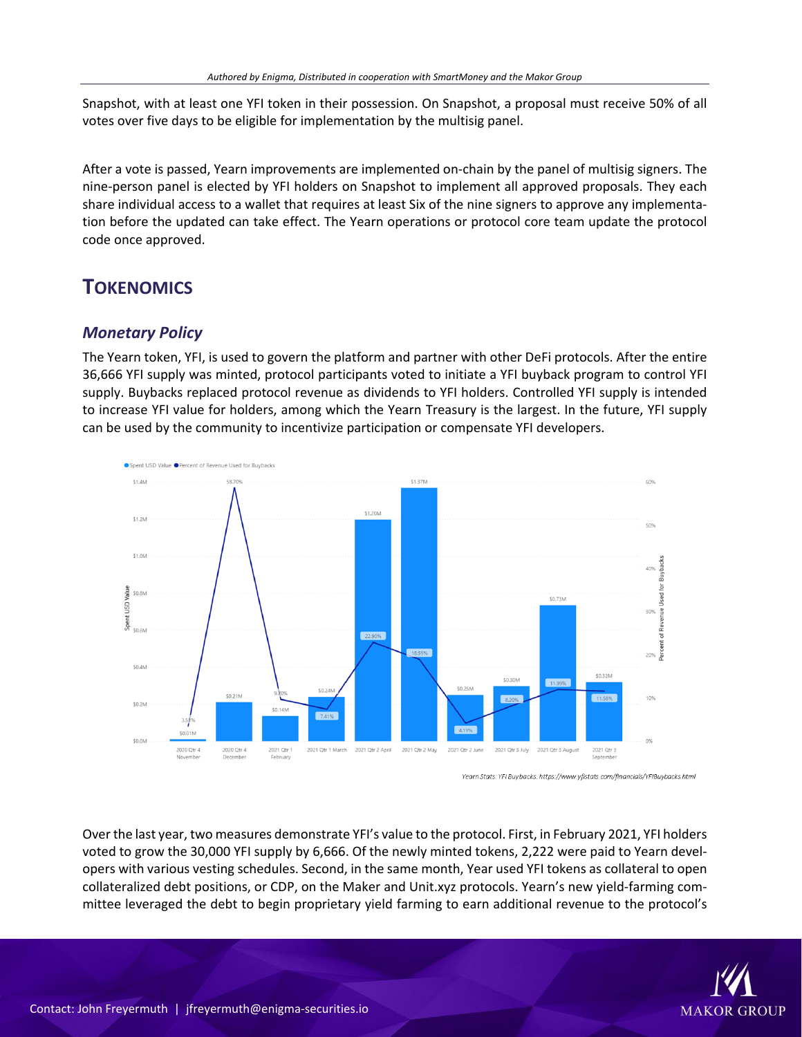Snapshot, with at least one YFI token in their possession. On Snapshot, a proposal must receive 50% of all votes over five days to be eligible for implementation by the multisig panel.

After a vote is passed, Yearn improvements are implemented on-chain by the panel of multisig signers. The nine-person panel is elected by YFI holders on Snapshot to implement all approved proposals. They each share individual access to a wallet that requires at least Six of the nine signers to approve any implementation before the updated can take effect. The Yearn operations or protocol core team update the protocol code once approved.

## **TOKENOMICS**

### *Monetary Policy*

The Yearn token, YFI, is used to govern the platform and partner with other DeFi protocols. After the entire 36,666 YFI supply was minted, protocol participants voted to initiate a YFI buyback program to control YFI supply. Buybacks replaced protocol revenue as dividends to YFI holders. Controlled YFI supply is intended to increase YFI value for holders, among which the Yearn Treasury is the largest. In the future, YFI supply can be used by the community to incentivize participation or compensate YFI developers.



Yearn Stats: YFI Buybacks. https://www.yfistats.com/financials/YFIBuybacks.htmi

Over the last year, two measures demonstrate YFI's value to the protocol. First, in February 2021, YFI holders voted to grow the 30,000 YFI supply by 6,666. Of the newly minted tokens, 2,222 were paid to Yearn developers with various vesting schedules. Second, in the same month, Year used YFI tokens as collateral to open collateralized debt positions, or CDP, on the Maker and Unit.xyz protocols. Yearn's new yield-farming committee leveraged the debt to begin proprietary yield farming to earn additional revenue to the protocol's

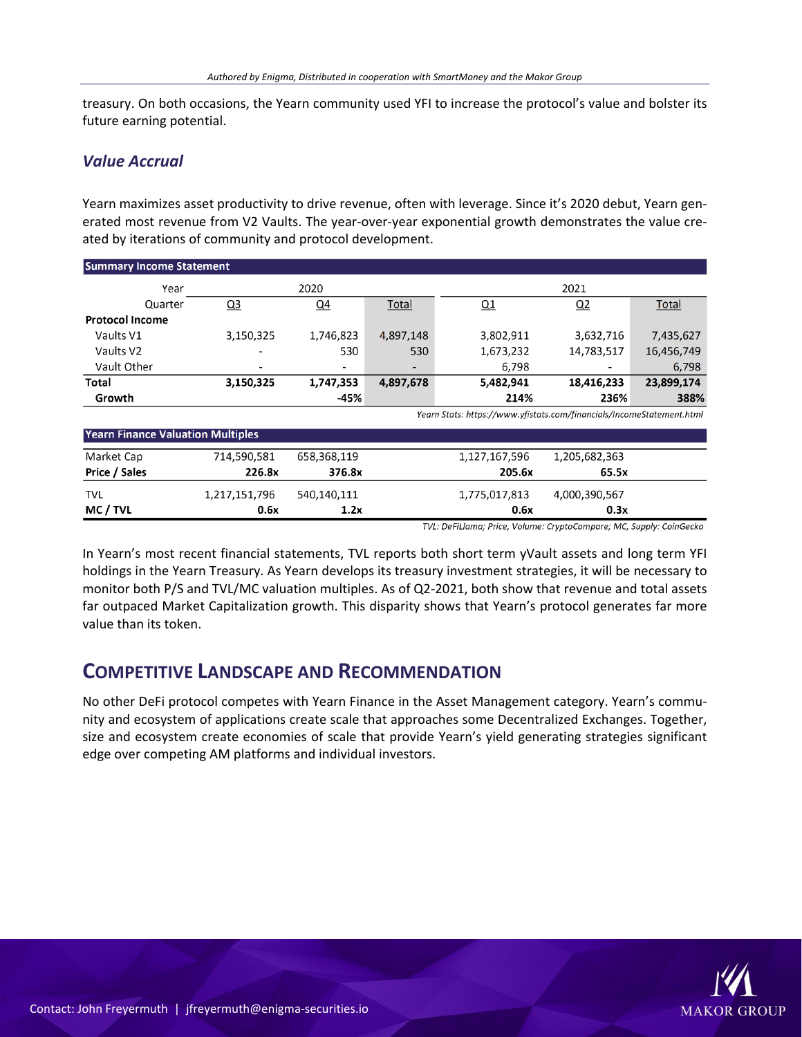treasury. On both occasions, the Yearn community used YFI to increase the protocol's value and bolster its future earning potential.

### *Value Accrual*

Yearn maximizes asset productivity to drive revenue, often with leverage. Since it's 2020 debut, Yearn generated most revenue from V2 Vaults. The year-over-year exponential growth demonstrates the value created by iterations of community and protocol development.

| <b>Summary Income Statement</b> |                          |           |                          |           |            |              |
|---------------------------------|--------------------------|-----------|--------------------------|-----------|------------|--------------|
| Year                            |                          | 2020      |                          |           | 2021       |              |
| Quarter                         | $Q_3$                    | $Q_4$     | <b>Total</b>             | Q1        | Q2         | <b>Total</b> |
| <b>Protocol Income</b>          |                          |           |                          |           |            |              |
| Vaults V1                       | 3,150,325                | 1,746,823 | 4,897,148                | 3,802,911 | 3,632,716  | 7,435,627    |
| Vaults V2                       | $\overline{\phantom{0}}$ | 530       | 530                      | 1,673,232 | 14,783,517 | 16,456,749   |
| Vault Other                     | $\overline{\phantom{a}}$ | ۰         | $\overline{\phantom{a}}$ | 6,798     |            | 6,798        |
| Total                           | 3,150,325                | 1,747,353 | 4,897,678                | 5,482,941 | 18,416,233 | 23,899,174   |
| Growth                          |                          | -45%      |                          | 214%      | 236%       | 388%         |

Yearn Stats: https://www.yfistats.com/financials/IncomeStatement.html

| <b>Yearn Finance Valuation Multiples</b> |               |             |               |               |  |
|------------------------------------------|---------------|-------------|---------------|---------------|--|
| Market Cap                               | 714.590.581   | 658.368.119 | 1,127,167,596 | 1,205,682,363 |  |
| Price / Sales                            | 226.8x        | 376.8x      | 205.6x        | 65.5x         |  |
| <b>TVL</b>                               | 1,217,151,796 | 540,140,111 | 1,775,017,813 | 4,000,390,567 |  |
| MC / TVL                                 | 0.6x          | 1.2x        | 0.6x          | 0.3x          |  |

TVL: DeFiLlama; Price, Volume: CryptoCompare; MC, Supply: CoinGecko

In Yearn's most recent financial statements, TVL reports both short term yVault assets and long term YFI holdings in the Yearn Treasury. As Yearn develops its treasury investment strategies, it will be necessary to monitor both P/S and TVL/MC valuation multiples. As of Q2-2021, both show that revenue and total assets far outpaced Market Capitalization growth. This disparity shows that Yearn's protocol generates far more value than its token.

### **COMPETITIVE LANDSCAPE AND RECOMMENDATION**

No other DeFi protocol competes with Yearn Finance in the Asset Management category. Yearn's community and ecosystem of applications create scale that approaches some Decentralized Exchanges. Together, size and ecosystem create economies of scale that provide Yearn's yield generating strategies significant edge over competing AM platforms and individual investors.

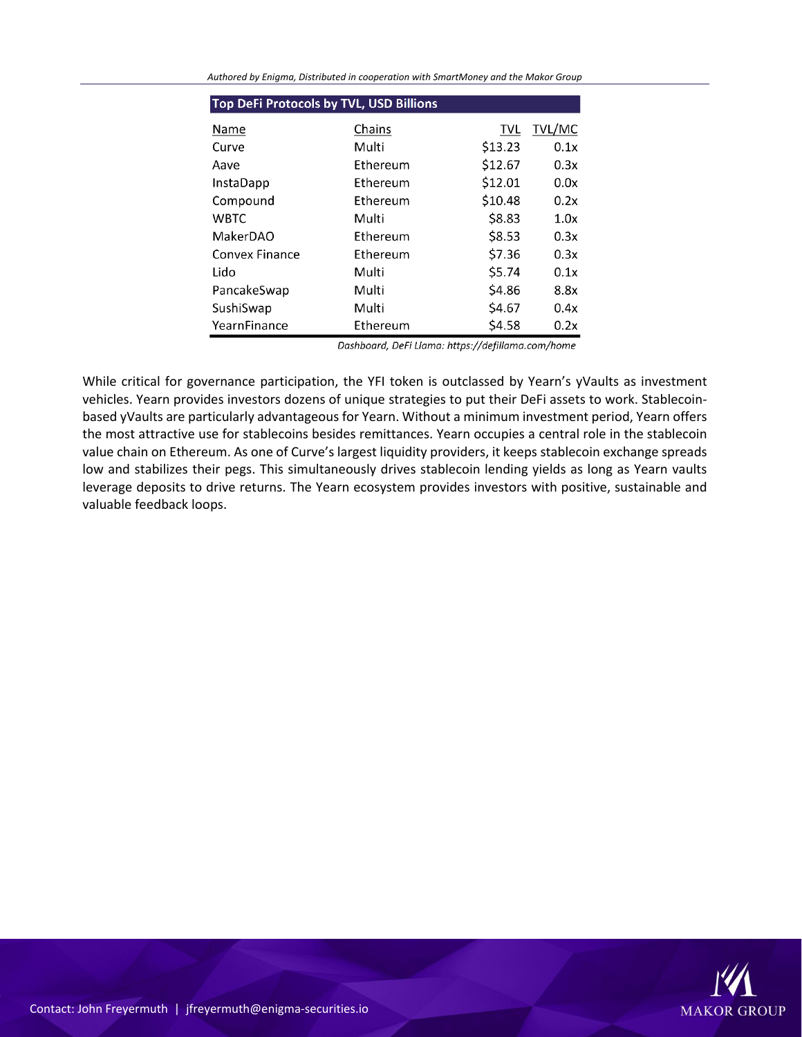| <b>Top DeFi Protocols by TVL, USD Billions</b> |                 |         |        |  |  |
|------------------------------------------------|-----------------|---------|--------|--|--|
| Name                                           | Chains          | TVL     | TVL/MC |  |  |
| Curve                                          | Multi           | \$13.23 | 0.1x   |  |  |
| Aave                                           | Ethereum        | \$12.67 | 0.3x   |  |  |
| <b>InstaDapp</b>                               | Ethereum        | \$12.01 | 0.0x   |  |  |
| Compound                                       | Ethereum        | \$10.48 | 0.2x   |  |  |
| <b>WBTC</b>                                    | Multi           | \$8.83  | 1.0x   |  |  |
| MakerDAO                                       | <b>Fthereum</b> | \$8.53  | 0.3x   |  |  |
| Convex Finance                                 | Ethereum        | \$7.36  | 0.3x   |  |  |
| Lido                                           | Multi           | \$5.74  | 0.1x   |  |  |
| PancakeSwap                                    | Multi           | \$4.86  | 8.8x   |  |  |
| SushiSwap                                      | Multi           | \$4.67  | 0.4x   |  |  |
| YearnFinance                                   | Ethereum        | \$4.58  | 0.2x   |  |  |

*Authored by Enigma, Distributed in cooperation with SmartMoney and the Makor Group*

Dashboard, DeFi Llama: https://defillama.com/home

While critical for governance participation, the YFI token is outclassed by Yearn's yVaults as investment vehicles. Yearn provides investors dozens of unique strategies to put their DeFi assets to work. Stablecoinbased yVaults are particularly advantageous for Yearn. Without a minimum investment period, Yearn offers the most attractive use for stablecoins besides remittances. Yearn occupies a central role in the stablecoin value chain on Ethereum. As one of Curve's largest liquidity providers, it keeps stablecoin exchange spreads low and stabilizes their pegs. This simultaneously drives stablecoin lending yields as long as Yearn vaults leverage deposits to drive returns. The Yearn ecosystem provides investors with positive, sustainable and valuable feedback loops.